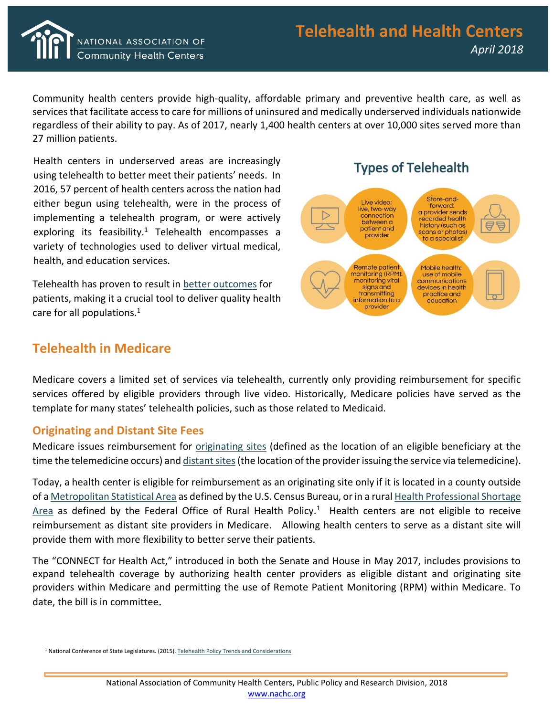

Community health centers provide high-quality, affordable primary and preventive health care, as well as services that facilitate access to care for millions of uninsured and medically underserved individuals nationwide regardless of their ability to pay. As of 2017, nearly 1,400 health centers at over 10,000 sites served more than 27 million patients.

Health centers in underserved areas are increasingly using telehealth to better meet their patients' needs. In 2016, 57 percent of health centers across the nation had either begun using telehealth, were in the process of implementing a telehealth program, or were actively exploring its feasibility.<sup>1</sup> Telehealth encompasses a variety of technologies used to deliver virtual medical, health, and education services.

Telehealth has proven to result in [better outcomes](http://www.ncsl.org/documents/health/telehealth2015.pdf) for patients, making it a crucial tool to deliver quality health care for all populations.<sup>1</sup>

## **Telehealth in Medicare**



Medicare covers a limited set of services via telehealth, currently only providing reimbursement for specific services offered by eligible providers through live video. Historically, Medicare policies have served as the template for many states' telehealth policies, such as those related to Medicaid.

## **Originating and Distant Site Fees**

Medicare issues reimbursement for [originating sites](https://www.cms.gov/Outreach-and-Education/Medicare-Learning-Network-MLN/MLNProducts/downloads/TelehealthSrvcsfctsht.pdf) (defined as the location of an eligible beneficiary at the time the telemedicine occurs) and *distant sites* (the location of the provider issuing the service via telemedicine).

Today, a health center is eligible for reimbursement as an originating site only if it is located in a county outside of a [Metropolitan Statistical Area](https://www.cms.gov/Outreach-and-Education/Medicare-Learning-Network-MLN/MLNProducts/downloads/TelehealthSrvcsfctsht.pdf) as defined by the U.S. Census Bureau, or in a rura[l Health Professional Shortage](http://www.cchpca.org/telehealth-and-medicare)   $Area$  as defined by the Federal Office of Rural Health Policy.<sup>1</sup> Health centers are not eligible to receive reimbursement as distant site providers in Medicare. Allowing health centers to serve as a distant site will provide them with more flexibility to better serve their patients.

The "CONNECT for Health Act," introduced in both the Senate and House in May 2017, includes provisions to expand telehealth coverage by authorizing health center providers as eligible distant and originating site providers within Medicare and permitting the use of Remote Patient Monitoring (RPM) within Medicare. To date, the bill is in committee.

<sup>&</sup>lt;sup>1</sup> National Conference of State Legislatures. (2015). [Telehealth Policy Trends and Considerations](http://www.ncsl.org/documents/health/telehealth2015.pdf)